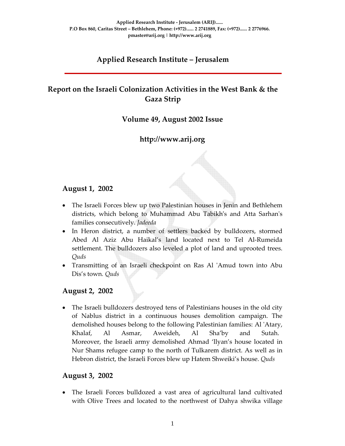# **Applied Research Institute – Jerusalem**

# **Report on the Israeli Colonization Activities in the West Bank & the Gaza Strip**

### **Volume 49, August 2002 Issue**

## **http://www.arij.org**

### **August 1, 2002**

- The Israeli Forces blew up two Palestinian houses in Jenin and Bethlehem districts, which belong to Muhammad Abu Tabikhʹs and Atta Sarhanʹs families consecutively. *Jadeeda*
- In Heron district, a number of settlers backed by bulldozers, stormed Abed Al Aziz Abu Haikal's land located next to Tel Al‐Rumeida settlement. The bulldozers also leveled a plot of land and uprooted trees. *Quds*
- Transmitting of an Israeli checkpoint on Ras Al 'Amud town into Abu Dis's town*. Quds*

#### **August 2, 2002**

• The Israeli bulldozers destroyed tens of Palestinians houses in the old city of Nablus district in a continuous houses demolition campaign. The demolished houses belong to the following Palestinian families: Al ʹAtary, Khalaf, Al Asmar, Aweideh, Al Sha'by and Sutah. Moreover, the Israeli army demolished Ahmad 'llyan's house located in Nur Shams refugee camp to the north of Tulkarem district. As well as in Hebron district, the Israeli Forces blew up Hatem Shweiki's house. *Quds* 

#### **August 3, 2002**

• The Israeli Forces bulldozed a vast area of agricultural land cultivated with Olive Trees and located to the northwest of Dahya shwika village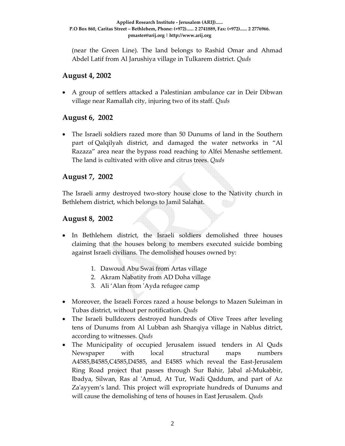(near the Green Line). The land belongs to Rashid Omar and Ahmad Abdel Latif from Al Jarushiya village in Tulkarem district. *Quds*

### **August 4, 2002**

• A group of settlers attacked a Palestinian ambulance car in Deir Dibwan village near Ramallah city, injuring two of its staff. *Quds*

### **August 6, 2002**

• The Israeli soldiers razed more than 50 Dunums of land in the Southern part of Qalqilyah district, and damaged the water networks in "Al Razaza" area near the bypass road reaching to Alfei Menashe settlement. The land is cultivated with olive and citrus trees. *Quds*

### **August 7, 2002**

The Israeli army destroyed two‐story house close to the Nativity church in Bethlehem district, which belongs to Jamil Salahat.

### **August 8, 2002**

- In Bethlehem district, the Israeli soldiers demolished three houses claiming that the houses belong to members executed suicide bombing against Israeli civilians. The demolished houses owned by:
	- 1. Dawoud Abu Swai from Artas village
	- 2. Akram Nabatity from AD Doha village
	- 3. Ali 'Alan from ʹAyda refugee camp
- Moreover, the Israeli Forces razed a house belongs to Mazen Suleiman in Tubas district, without per notification. *Quds*
- The Israeli bulldozers destroyed hundreds of Olive Trees after leveling tens of Dunums from Al Lubban ash Sharqiya village in Nablus ditrict, according to witnesses. *Quds*
- The Municipality of occupied Jerusalem issued tenders in Al Quds Newspaper with local structural maps numbers A4585,B4585,C4585,D4585, and E4585 which reveal the East‐Jerusalem Ring Road project that passes through Sur Bahir, Jabal al‐Mukabbir, Ibadya, Silwan, Ras al ʹAmud, At Tur, Wadi Qaddum, and part of Az Za'ayyem's land. This project will expropriate hundreds of Dunums and will cause the demolishing of tens of houses in East Jerusalem*. Quds*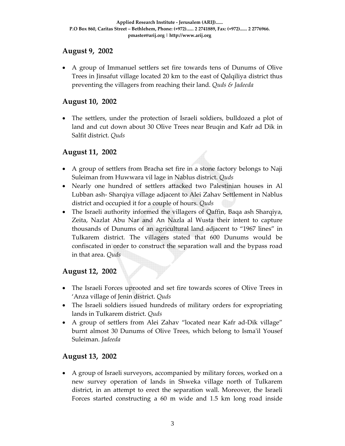### **August 9, 2002**

• A group of Immanuel settlers set fire towards tens of Dunums of Olive Trees in Jinsafut village located 20 km to the east of Qalqiliya district thus preventing the villagers from reaching their land. *Quds & Jadeeda*

### **August 10, 2002**

• The settlers, under the protection of Israeli soldiers, bulldozed a plot of land and cut down about 30 Olive Trees near Bruqin and Kafr ad Dik in Salfit district. *Quds*

### **August 11, 2002**

- A group of settlers from Bracha set fire in a stone factory belongs to Naji Suleiman from Huwwara vil lage in Nablus district. *Quds*
- Nearly one hundred of settlers attacked two Palestinian houses in Al Lubban ash‐ Sharqiya village adjacent to Alei Zahav Settlement in Nablus district and occupied it for a couple of hours*. Quds*
- The Israeli authority informed the villagers of Qaffin, Baqa ash Sharqiya, Zeita, Nazlat Abu Nar and An Nazla al Wusta their intent to capture thousands of Dunums of an agricultural land adjacent to "1967 lines" in Tulkarem district. The villagers stated that 600 Dunums would be confiscated in order to construct the separation wall and the bypass road in that area. *Quds*

### **August 12, 2002**

- The Israeli Forces uprooted and set fire towards scores of Olive Trees in 'Anza village of Jenin district. *Quds*
- The Israeli soldiers issued hundreds of military orders for expropriating lands in Tulkarem district. *Quds*
- A group of settlers from Alei Zahav "located near Kafr ad-Dik village" burnt almost 30 Dunums of Olive Trees, which belong to Isma'il Yousef Suleiman. *Jadeeda*

### **August 13, 2002**

• A group of Israeli surveyors, accompanied by military forces, worked on a new survey operation of lands in Shweka village north of Tulkarem district, in an attempt to erect the separation wall. Moreover, the Israeli Forces started constructing a 60 m wide and 1.5 km long road inside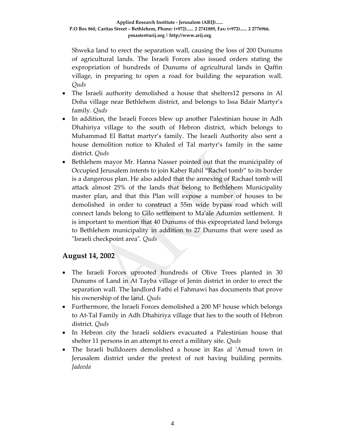Shweka land to erect the separation wall, causing the loss of 200 Dunums of agricultural lands. The Israeli Forces also issued orders stating the expropriation of hundreds of Dunums of agricultural lands in Qaffin village, in preparing to open a road for building the separation wall. *Quds* 

- The Israeli authority demolished a house that shelters12 persons in Al Doha village near Bethlehem district, and belongs to Issa Bdair Martyr's family. *Quds*
- In addition, the Israeli Forces blew up another Palestinian house in Adh Dhahiriya village to the south of Hebron district, which belongs to Muhammad El Battat martyr's family. The Israeli Authority also sent a house demolition notice to Khaled el Tal martyr's family in the same district. *Quds*
- Bethlehem mayor Mr. Hanna Nasser pointed out that the municipality of Occupied Jerusalem intents to join Kaber Rahil "Rachel tomb" to its border is a dangerous plan. He also added that the annexing of Rachael tomb will attack almost 25% of the lands that belong to Bethlehem Municipality master plan, and that this Plan will expose a number of houses to be demolished in order to construct a 55m wide bypass road which will connect lands belong to Gilo settlement to Maʹale Adumim settlement. It is important to mention that 40 Dunums of this expropriated land belongs to Bethlehem municipality in addition to 27 Dunums that were used as ʺIsraeli checkpoint areaʺ. *Quds*

### **August 14, 2002**

- The Israeli Forces uprooted hundreds of Olive Trees planted in 30 Dunums of Land in At Tayba village of Jenin district in order to erect the separation wall. The landlord Fathi el Fahmawi has documents that prove his ownership of the land. *Quds*
- Furthermore, the Israeli Forces demolished a 200 M<sup>2</sup> house which belongs to At‐Tal Family in Adh Dhahiriya village that lies to the south of Hebron district. *Quds*
- In Hebron city the Israeli soldiers evacuated a Palestinian house that shelter 11 persons in an attempt to erect a military site. *Quds*
- The Israeli bulldozers demolished a house in Ras al 'Amud town in Jerusalem district under the pretext of not having building permits. *Jadeeda*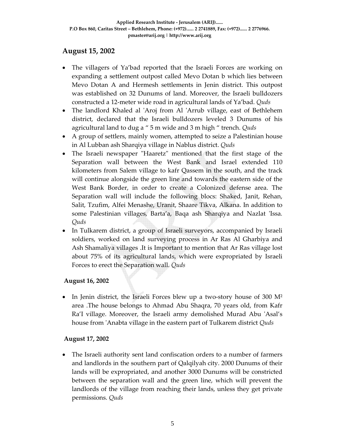### **August 15, 2002**

- The villagers of Ya'bad reported that the Israeli Forces are working on expanding a settlement outpost called Mevo Dotan b which lies between Mevo Dotan A and Hermesh settlements in Jenin district. This outpost was established on 32 Dunums of land. Moreover, the Israeli bulldozers constructed a 12‐meter wide road in agricultural lands of Ya'bad. *Quds*
- The landlord Khaled al 'Aroj from Al 'Arrub village, east of Bethlehem district, declared that the Israeli bulldozers leveled 3 Dunums of his agricultural land to dug a " 5 m wide and 3 m high " trench. *Quds*
- A group of settlers, mainly women, attempted to seize a Palestinian house in Al Lubban ash Sharqiya village in Nablus district. *Quds*
- The Israeli newspaper "Haaretz" mentioned that the first stage of the Separation wall between the West Bank and Israel extended 110 kilometers from Salem village to kafr Qassem in the south, and the track will continue alongside the green line and towards the eastern side of the West Bank Border, in order to create a Colonized defense area. The Separation wall will include the following blocs: Shaked, Janit, Rehan, Salit, Tzufim, Alfei Menashe, Uranit, Shaare Tikva, Alkana. In addition to some Palestinian villages, Barta'a, Baqa ash Sharqiya and Nazlat ʹIssa*. Quds*
- In Tulkarem district, a group of Israeli surveyors, accompanied by Israeli soldiers, worked on land surveying process in Ar Ras Al Gharbiya and Ash Shamaliya villages .It is Important to mention that Ar Ras village lost about 75% of its agricultural lands, which were expropriated by Israeli Forces to erect the Separation wall. *Quds*

#### **August 16, 2002**

In Jenin district, the Israeli Forces blew up a two-story house of 300 M<sup>2</sup> area .The house belongs to Ahmad Abu Shaqra, 70 years old, from Kafr Ra'I village. Moreover, the Israeli army demolished Murad Abu 'Asal's house from ʹAnabta village in the eastern part of Tulkarem district *Quds*

#### **August 17, 2002**

• The Israeli authority sent land confiscation orders to a number of farmers and landlords in the southern part of Qalqilyah city. 2000 Dunums of their lands will be expropriated, and another 3000 Dunums will be constricted between the separation wall and the green line, which will prevent the landlords of the village from reaching their lands, unless they get private permissions. *Quds*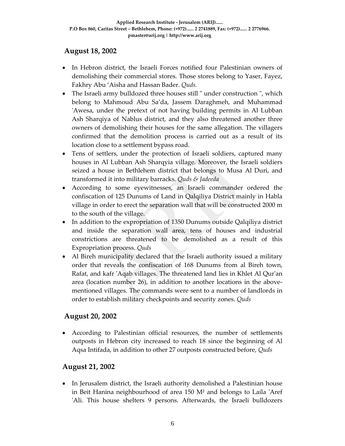### **August 18, 2002**

- In Hebron district, the Israeli Forces notified four Palestinian owners of demolishing their commercial stores. Those stores belong to Yaser, Fayez, Fakhry Abu 'Aisha and Hassan Bader. *Quds.*
- The Israeli army bulldozed three houses still " under construction ", which belong to Mahmoud Abu Sa'da, Jassem Daraghmeh, and Muhammad ʹAwesa, under the pretext of not having building permits in Al Lubban Ash Sharqiya of Nablus district, and they also threatened another three owners of demolishing their houses for the same allegation. The villagers confirmed that the demolition process is carried out as a result of its location close to a settlement bypass road.
- Tens of settlers, under the protection of Israeli soldiers, captured many houses in Al Lubban Ash Sharqyia village. Moreover, the Israeli soldiers seized a house in Bethlehem district that belongs to Musa Al Duri, and transformed it into military barracks. *Quds & Jadeeda*
- According to some eyewitnesses, an Israeli commander ordered the confiscation of 125 Dunums of Land in Qalqiliya District mainly in Habla village in order to erect the separation wall that will be constructed 2000 m to the south of the village.
- In addition to the expropriation of 1350 Dunums outside Qalqiliya district and inside the separation wall area, tens of houses and industrial constrictions are threatened to be demolished as a result of this Expropriation process. *Quds*
- Al Bireh municipality declared that the Israeli authority issued a military order that reveals the confiscation of 168 Dunums from al Bireh town, Rafat, and kafr ʹAqab villages. The threatened land lies in Khlet Al Qurʹan area (location number 26), in addition to another locations in the above‐ mentioned villages. The commands were sent to a number of landlords in order to establish military checkpoints and security zones. *Quds*

### **August 20, 2002**

• According to Palestinian official resources, the number of settlements outposts in Hebron city increased to reach 18 since the beginning of Al Aqsa Intifada, in addition to other 27 outposts constructed before, *Quds*

### **August 21, 2002**

• In Jerusalem district, the Israeli authority demolished a Palestinian house in Beit Hanina neighbourhood of area 150  $M<sup>2</sup>$  and belongs to Laila 'Aref ʹAli. This house shelters 9 persons. Afterwards, the Israeli bulldozers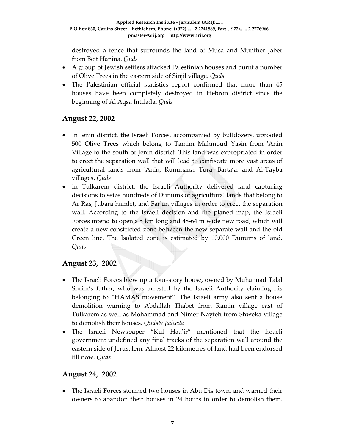destroyed a fence that surrounds the land of Musa and Munther Jaber from Beit Hanina. *Quds* 

- A group of Jewish settlers attacked Palestinian houses and burnt a number of Olive Trees in the eastern side of Sinjil village. *Quds*
- The Palestinian official statistics report confirmed that more than 45 houses have been completely destroyed in Hebron district since the beginning of Al Aqsa Intifada. *Quds*

## **August 22, 2002**

- In Jenin district, the Israeli Forces, accompanied by bulldozers, uprooted 500 Olive Trees which belong to Tamim Mahmoud Yasin from 'Anin Village to the south of Jenin district. This land was expropriated in order to erect the separation wall that will lead to confiscate more vast areas of agricultural lands from ʹAnin, Rummana, Tura, Barta'a, and Al‐Tayba villages. *Quds*
- In Tulkarem district, the Israeli Authority delivered land capturing decisions to seize hundreds of Dunums of agricultural lands that belong to Ar Ras, Jubara hamlet, and Farʹun villages in order to erect the separation wall. According to the Israeli decision and the planed map, the Israeli Forces intend to open a 5 km long and 48‐64 m wide new road, which will create a new constricted zone between the new separate wall and the old Green line. The Isolated zone is estimated by 10.000 Dunums of land. *Quds*

### **August 23, 2002**

- The Israeli Forces blew up a four‐story house, owned by Muhannad Talal Shrim's father, who was arrested by the Israeli Authority claiming his belonging to "HAMAS movement". The Israeli army also sent a house demolition warning to Abdallah Thabet from Ramin village east of Tulkarem as well as Mohammad and Nimer Nayfeh from Shweka village to demolish their houses. *Quds& Jadeeda*
- The Israeli Newspaper "Kul Haa'ir" mentioned that the Israeli government undefined any final tracks of the separation wall around the eastern side of Jerusalem. Almost 22 kilometres of land had been endorsed till now. *Quds*

### **August 24, 2002**

• The Israeli Forces stormed two houses in Abu Dis town, and warned their owners to abandon their houses in 24 hours in order to demolish them.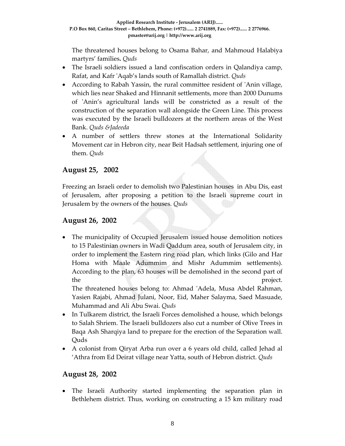The threatened houses belong to Osama Bahar, and Mahmoud Halabiya martyrs' families**.** *Quds* 

- The Israeli soldiers issued a land confiscation orders in Qalandiya camp, Rafat, and Kafr ʹAqab's lands south of Ramallah district. *Quds*
- According to Rabah Yassin, the rural committee resident of 'Anin village, which lies near Shaked and Hinnanit settlements, more than 2000 Dunums of ʹAnin's agricultural lands will be constricted as a result of the construction of the separation wall alongside the Green Line. This process was executed by the Israeli bulldozers at the northern areas of the West Bank. *Quds &Jadeeda*
- A number of settlers threw stones at the International Solidarity Movement car in Hebron city, near Beit Hadsah settlement, injuring one of them. *Quds*

## **August 25, 2002**

Freezing an Israeli order to demolish two Palestinian houses in Abu Dis, east of Jerusalem, after proposing a petition to the Israeli supreme court in Jerusalem by the owners of the houses. *Quds* 

### **August 26, 2002**

• The municipality of Occupied Jerusalem issued house demolition notices to 15 Palestinian owners in Wadi Qaddum area, south of Jerusalem city, in order to implement the Eastern ring road plan, which links (Gilo and Har Homa with Maale Adummim and Mishr Adummim settlements). According to the plan, 63 houses will be demolished in the second part of the project.

The threatened houses belong to: Ahmad 'Adela, Musa Abdel Rahman, Yasien Rajabi, Ahmad Julani, Noor, Eid, Maher Salayma, Saed Masuade, Muhammad and Ali Abu Swai. *Quds* 

- In Tulkarem district, the Israeli Forces demolished a house, which belongs to Salah Shriem. The Israeli bulldozers also cut a number of Olive Trees in Baqa Ash Sharqiya land to prepare for the erection of the Separation wall. Quds
- A colonist from Qiryat Arba run over a 6 years old child, called Jehad al 'Athra from Ed Deirat village near Yatta, south of Hebron district. *Quds*

#### **August 28, 2002**

• The Israeli Authority started implementing the separation plan in Bethlehem district. Thus, working on constructing a 15 km military road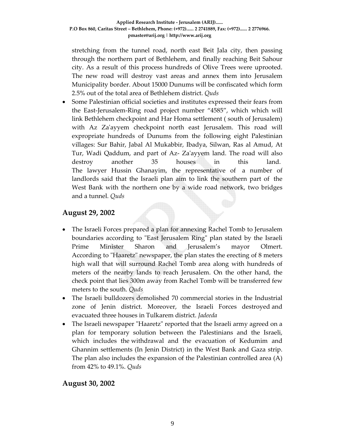stretching from the tunnel road, north east Beit Jala city, then passing through the northern part of Bethlehem, and finally reaching Beit Sahour city. As a result of this process hundreds of Olive Trees were uprooted. The new road will destroy vast areas and annex them into Jerusalem Municipality border. About 15000 Dunums will be confiscated which form 2.5% out of the total area of Bethlehem district. *Quds*

• Some Palestinian official societies and institutes expressed their fears from the East‐Jerusalem‐Ring road project number "4585", which which will link Bethlehem checkpoint and Har Homa settlement ( south of Jerusalem) with Az Za'ayyem checkpoint north east Jerusalem. This road will expropriate hundreds of Dunums from the following eight Palestinian villages: Sur Bahir, Jabal Al Mukabbir, Ibadya, Silwan, Ras al Amud, At Tur, Wadi Qaddum, and part of Az‐ Zaʹayyem land. The road will also destroy another 35 houses in this land. The lawyer Hussin Ghanayim, the representative of a number of landlords said that the Israeli plan aim to link the southern part of the West Bank with the northern one by a wide road network, two bridges and a tunnel. *Quds*

### **August 29, 2002**

- The Israeli Forces prepared a plan for annexing Rachel Tomb to Jerusalem boundaries according to "East Jerusalem Ring" plan stated by the Israeli Prime Minister Sharon and Jerusalem's mayor Olmert. According to "Haaretz" newspaper, the plan states the erecting of 8 meters high wall that will surround Rachel Tomb area along with hundreds of meters of the nearby lands to reach Jerusalem. On the other hand, the check point that lies 300m away from Rachel Tomb will be transferred few meters to the south. *Quds*
- The Israeli bulldozers demolished 70 commercial stories in the Industrial zone of Jenin district. Moreover, the Israeli Forces destroyed and evacuated three houses in Tulkarem district. *Jadeeda*
- The Israeli newspaper "Haaretz" reported that the Israeli army agreed on a plan for temporary solution between the Palestinians and the Israeli, which includes the withdrawal and the evacuation of Kedumim and Ghannim settlements (In Jenin District) in the West Bank and Gaza strip. The plan also includes the expansion of the Palestinian controlled area (A) from 42% to 49.1%. *Quds*

#### **August 30, 2002**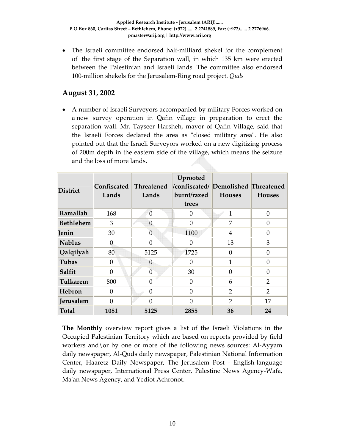• The Israeli committee endorsed half-milliard shekel for the complement of the first stage of the Separation wall, in which 135 km were erected between the Palestinian and Israeli lands. The committee also endorsed 100‐million shekels for the Jerusalem‐Ring road project. *Quds* 

### **August 31, 2002**

• A number of Israeli Surveyors accompanied by military Forces worked on a new survey operation in Qafin village in preparation to erect the separation wall. Mr. Tayseer Harsheh, mayor of Qafin Village, said that the Israeli Forces declared the area as "closed military area". He also pointed out that the Israeli Surveyors worked on a new digitizing process of 200m depth in the eastern side of the village, which means the seizure and the loss of more lands.

| <b>District</b>  | <b>Confiscated</b><br>Lands | <b>Threatened</b><br>Lands | Uprooted<br>/confiscated/ Demolished Threatened<br>burnt/razed<br>trees | <b>Houses</b>  | <b>Houses</b>  |
|------------------|-----------------------------|----------------------------|-------------------------------------------------------------------------|----------------|----------------|
| Ramallah         | 168                         | $\mathbf{0}$               | 0                                                                       | $\mathbf{1}$   | $\theta$       |
| <b>Bethlehem</b> | 3                           | $\overline{0}$             | $\theta$                                                                | 7              | $\theta$       |
| Jenin            | 30                          | $\overline{0}$             | 1100                                                                    | 4              | $\theta$       |
| <b>Nablus</b>    | 0                           | $\theta$                   | $\Omega$                                                                | 13             | 3              |
| Qalqilyah        | 80                          | 5125                       | 1725                                                                    | $\theta$       | $\Omega$       |
| Tubas            | $\Omega$                    | $\theta$                   | $\Omega$                                                                | 1              | $\Omega$       |
| Salfit           | $\Omega$                    | $\Omega$                   | 30                                                                      | $\Omega$       | $\Omega$       |
| Tulkarem         | 800                         | 0                          | $\Omega$                                                                | 6              | $\overline{2}$ |
| Hebron           | 0                           | $\Omega$                   | $\Omega$                                                                | $\overline{2}$ | $\overline{2}$ |
| Jerusalem        | $\Omega$                    | $\Omega$                   | $\Omega$                                                                | $\overline{2}$ | 17             |
| <b>Total</b>     | 1081                        | 5125                       | 2855                                                                    | 36             | 24             |

**The Monthly** overview report gives a list of the Israeli Violations in the Occupied Palestinian Territory which are based on reports provided by field workers and\or by one or more of the following news sources: Al‐Ayyam daily newspaper, Al‐Quds daily newspaper, Palestinian National Information Center, Haaretz Daily Newspaper, The Jerusalem Post ‐ English‐language daily newspaper, International Press Center, Palestine News Agency‐Wafa, Ma'an News Agency, and Yediot Achronot.